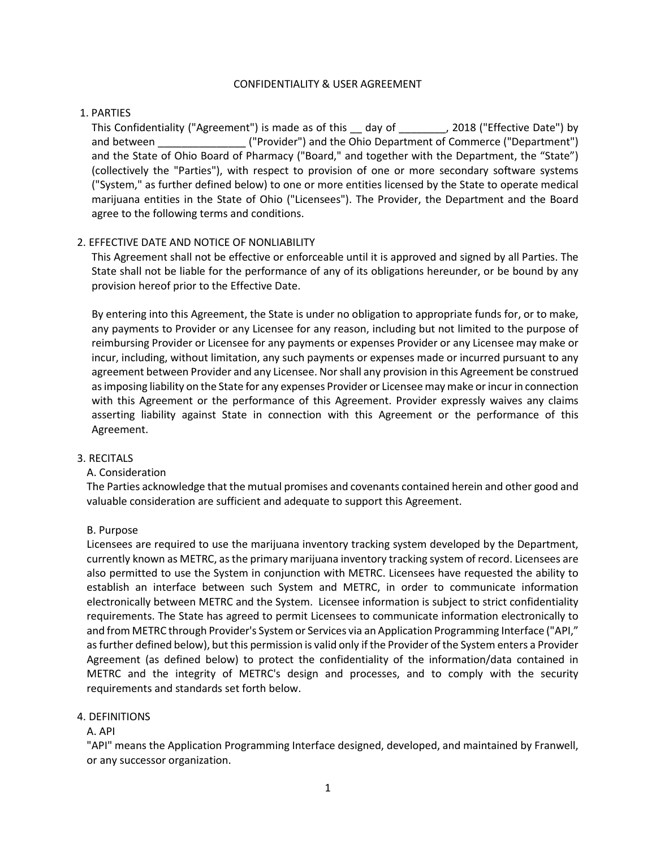### CONFIDENTIALITY & USER AGREEMENT

## 1. PARTIES

This Confidentiality ("Agreement") is made as of this \_\_ day of \_\_\_\_\_\_\_\_, 2018 ("Effective Date") by and between **The Commerce ("Provider")** and the Ohio Department of Commerce ("Department") and the State of Ohio Board of Pharmacy ("Board," and together with the Department, the "State") (collectively the "Parties"), with respect to provision of one or more secondary software systems ("System," as further defined below) to one or more entities licensed by the State to operate medical marijuana entities in the State of Ohio ("Licensees"). The Provider, the Department and the Board agree to the following terms and conditions.

## 2. EFFECTIVE DATE AND NOTICE OF NONLIABILITY

This Agreement shall not be effective or enforceable until it is approved and signed by all Parties. The State shall not be liable for the performance of any of its obligations hereunder, or be bound by any provision hereof prior to the Effective Date.

By entering into this Agreement, the State is under no obligation to appropriate funds for, or to make, any payments to Provider or any Licensee for any reason, including but not limited to the purpose of reimbursing Provider or Licensee for any payments or expenses Provider or any Licensee may make or incur, including, without limitation, any such payments or expenses made or incurred pursuant to any agreement between Provider and any Licensee. Nor shall any provision in this Agreement be construed as imposing liability on the State for any expenses Provider or Licensee may make or incur in connection with this Agreement or the performance of this Agreement. Provider expressly waives any claims asserting liability against State in connection with this Agreement or the performance of this Agreement.

#### 3. RECITALS

## A. Consideration

The Parties acknowledge that the mutual promises and covenants contained herein and other good and valuable consideration are sufficient and adequate to support this Agreement.

## B. Purpose

Licensees are required to use the marijuana inventory tracking system developed by the Department, currently known as METRC, as the primary marijuana inventory tracking system of record. Licensees are also permitted to use the System in conjunction with METRC. Licensees have requested the ability to establish an interface between such System and METRC, in order to communicate information electronically between METRC and the System. Licensee information is subject to strict confidentiality requirements. The State has agreed to permit Licensees to communicate information electronically to and from METRC through Provider's System or Services via an Application Programming Interface ("API," as further defined below), but this permission is valid only if the Provider of the System enters a Provider Agreement (as defined below) to protect the confidentiality of the information/data contained in METRC and the integrity of METRC's design and processes, and to comply with the security requirements and standards set forth below.

#### 4. DEFINITIONS

#### A. API

"API" means the Application Programming Interface designed, developed, and maintained by Franwell, or any successor organization.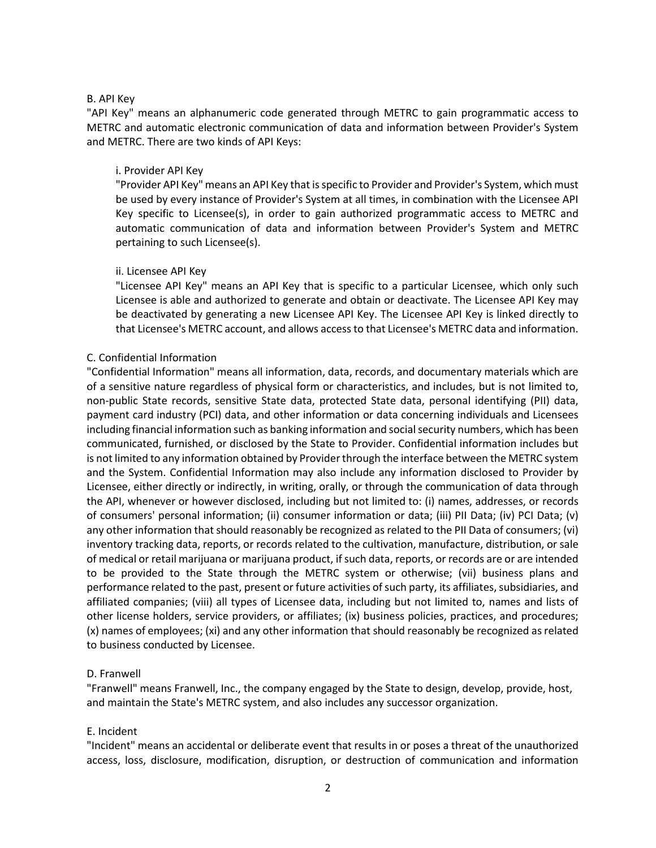## B. API Key

"API Key" means an alphanumeric code generated through METRC to gain programmatic access to METRC and automatic electronic communication of data and information between Provider's System and METRC. There are two kinds of API Keys:

## i. Provider API Key

"Provider API Key" means an API Key that is specific to Provider and Provider's System, which must be used by every instance of Provider's System at all times, in combination with the Licensee API Key specific to Licensee(s), in order to gain authorized programmatic access to METRC and automatic communication of data and information between Provider's System and METRC pertaining to such Licensee(s).

## ii. Licensee API Key

"Licensee API Key" means an API Key that is specific to a particular Licensee, which only such Licensee is able and authorized to generate and obtain or deactivate. The Licensee API Key may be deactivated by generating a new Licensee API Key. The Licensee API Key is linked directly to that Licensee's METRC account, and allows access to that Licensee's METRC data and information.

## C. Confidential Information

"Confidential Information" means all information, data, records, and documentary materials which are of a sensitive nature regardless of physical form or characteristics, and includes, but is not limited to, non-public State records, sensitive State data, protected State data, personal identifying (PII) data, payment card industry (PCI) data, and other information or data concerning individuals and Licensees including financial information such as banking information and social security numbers, which has been communicated, furnished, or disclosed by the State to Provider. Confidential information includes but is not limited to any information obtained by Provider through the interface between the METRC system and the System. Confidential Information may also include any information disclosed to Provider by Licensee, either directly or indirectly, in writing, orally, or through the communication of data through the API, whenever or however disclosed, including but not limited to: (i) names, addresses, or records of consumers' personal information; (ii) consumer information or data; (iii) PII Data; (iv) PCI Data; (v) any other information that should reasonably be recognized as related to the PII Data of consumers; (vi) inventory tracking data, reports, or records related to the cultivation, manufacture, distribution, or sale of medical or retail marijuana or marijuana product, if such data, reports, or records are or are intended to be provided to the State through the METRC system or otherwise; (vii) business plans and performance related to the past, present or future activities of such party, its affiliates, subsidiaries, and affiliated companies; (viii) all types of Licensee data, including but not limited to, names and lists of other license holders, service providers, or affiliates; (ix) business policies, practices, and procedures; (x) names of employees; (xi) and any other information that should reasonably be recognized as related to business conducted by Licensee.

## D. Franwell

"Franwell" means Franwell, Inc., the company engaged by the State to design, develop, provide, host, and maintain the State's METRC system, and also includes any successor organization.

#### E. Incident

"Incident" means an accidental or deliberate event that results in or poses a threat of the unauthorized access, loss, disclosure, modification, disruption, or destruction of communication and information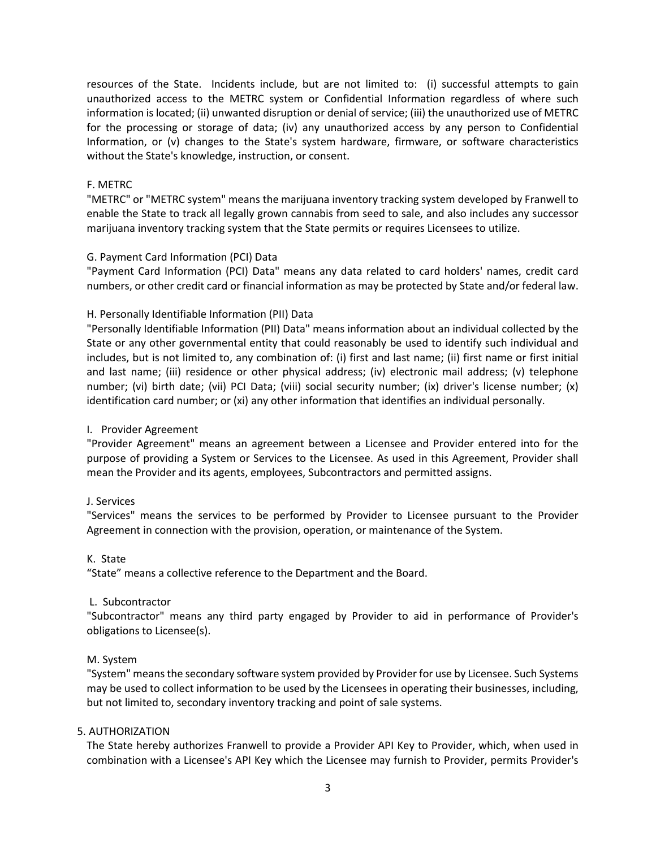resources of the State. Incidents include, but are not limited to: (i) successful attempts to gain unauthorized access to the METRC system or Confidential Information regardless of where such information is located; (ii) unwanted disruption or denial of service; (iii) the unauthorized use of METRC for the processing or storage of data; (iv) any unauthorized access by any person to Confidential Information, or (v) changes to the State's system hardware, firmware, or software characteristics without the State's knowledge, instruction, or consent.

## F. METRC

"METRC" or "METRC system" means the marijuana inventory tracking system developed by Franwell to enable the State to track all legally grown cannabis from seed to sale, and also includes any successor marijuana inventory tracking system that the State permits or requires Licensees to utilize.

## G. Payment Card Information (PCI) Data

"Payment Card Information (PCI) Data" means any data related to card holders' names, credit card numbers, or other credit card or financial information as may be protected by State and/or federal law.

## H. Personally Identifiable Information (PII) Data

"Personally Identifiable Information (PII) Data" means information about an individual collected by the State or any other governmental entity that could reasonably be used to identify such individual and includes, but is not limited to, any combination of: (i) first and last name; (ii) first name or first initial and last name; (iii) residence or other physical address; (iv) electronic mail address; (v) telephone number; (vi) birth date; (vii) PCI Data; (viii) social security number; (ix) driver's license number; (x) identification card number; or (xi) any other information that identifies an individual personally.

### I. Provider Agreement

"Provider Agreement" means an agreement between a Licensee and Provider entered into for the purpose of providing a System or Services to the Licensee. As used in this Agreement, Provider shall mean the Provider and its agents, employees, Subcontractors and permitted assigns.

#### J. Services

"Services" means the services to be performed by Provider to Licensee pursuant to the Provider Agreement in connection with the provision, operation, or maintenance of the System.

#### K. State

"State" means a collective reference to the Department and the Board.

#### L. Subcontractor

"Subcontractor" means any third party engaged by Provider to aid in performance of Provider's obligations to Licensee(s).

#### M. System

"System" means the secondary software system provided by Provider for use by Licensee. Such Systems may be used to collect information to be used by the Licensees in operating their businesses, including, but not limited to, secondary inventory tracking and point of sale systems.

## 5. AUTHORIZATION

The State hereby authorizes Franwell to provide a Provider API Key to Provider, which, when used in combination with a Licensee's API Key which the Licensee may furnish to Provider, permits Provider's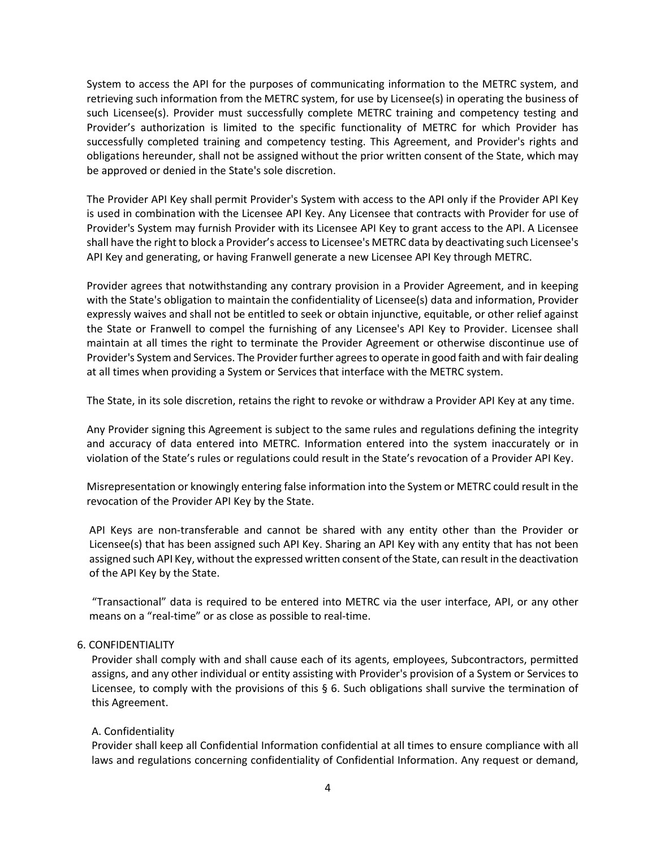System to access the API for the purposes of communicating information to the METRC system, and retrieving such information from the METRC system, for use by Licensee(s) in operating the business of such Licensee(s). Provider must successfully complete METRC training and competency testing and Provider's authorization is limited to the specific functionality of METRC for which Provider has successfully completed training and competency testing. This Agreement, and Provider's rights and obligations hereunder, shall not be assigned without the prior written consent of the State, which may be approved or denied in the State's sole discretion.

The Provider API Key shall permit Provider's System with access to the API only if the Provider API Key is used in combination with the Licensee API Key. Any Licensee that contracts with Provider for use of Provider's System may furnish Provider with its Licensee API Key to grant access to the API. A Licensee shall have the right to block a Provider's access to Licensee's METRC data by deactivating such Licensee's API Key and generating, or having Franwell generate a new Licensee API Key through METRC.

Provider agrees that notwithstanding any contrary provision in a Provider Agreement, and in keeping with the State's obligation to maintain the confidentiality of Licensee(s) data and information, Provider expressly waives and shall not be entitled to seek or obtain injunctive, equitable, or other relief against the State or Franwell to compel the furnishing of any Licensee's API Key to Provider. Licensee shall maintain at all times the right to terminate the Provider Agreement or otherwise discontinue use of Provider's System and Services. The Provider further agrees to operate in good faith and with fair dealing at all times when providing a System or Services that interface with the METRC system.

The State, in its sole discretion, retains the right to revoke or withdraw a Provider API Key at any time.

Any Provider signing this Agreement is subject to the same rules and regulations defining the integrity and accuracy of data entered into METRC. Information entered into the system inaccurately or in violation of the State's rules or regulations could result in the State's revocation of a Provider API Key.

Misrepresentation or knowingly entering false information into the System or METRC could result in the revocation of the Provider API Key by the State.

API Keys are non-transferable and cannot be shared with any entity other than the Provider or Licensee(s) that has been assigned such API Key. Sharing an API Key with any entity that has not been assigned such API Key, without the expressed written consent of the State, can result in the deactivation of the API Key by the State.

"Transactional" data is required to be entered into METRC via the user interface, API, or any other means on a "real-time" or as close as possible to real-time.

### 6. CONFIDENTIALITY

Provider shall comply with and shall cause each of its agents, employees, Subcontractors, permitted assigns, and any other individual or entity assisting with Provider's provision of a System or Services to Licensee, to comply with the provisions of this § 6. Such obligations shall survive the termination of this Agreement.

#### A. Confidentiality

Provider shall keep all Confidential Information confidential at all times to ensure compliance with all laws and regulations concerning confidentiality of Confidential Information. Any request or demand,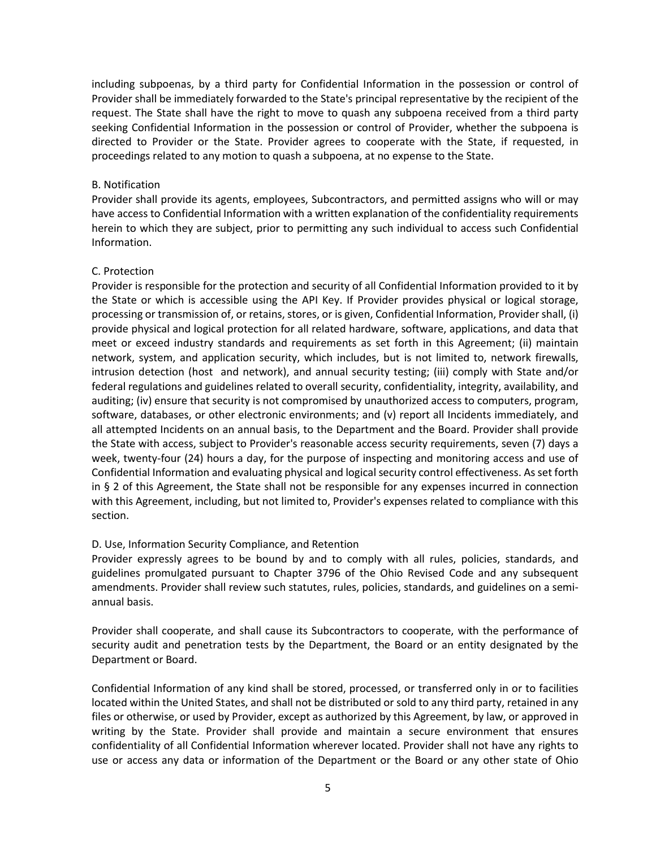including subpoenas, by a third party for Confidential Information in the possession or control of Provider shall be immediately forwarded to the State's principal representative by the recipient of the request. The State shall have the right to move to quash any subpoena received from a third party seeking Confidential Information in the possession or control of Provider, whether the subpoena is directed to Provider or the State. Provider agrees to cooperate with the State, if requested, in proceedings related to any motion to quash a subpoena, at no expense to the State.

### B. Notification

Provider shall provide its agents, employees, Subcontractors, and permitted assigns who will or may have access to Confidential Information with a written explanation of the confidentiality requirements herein to which they are subject, prior to permitting any such individual to access such Confidential Information.

## C. Protection

Provider is responsible for the protection and security of all Confidential Information provided to it by the State or which is accessible using the API Key. If Provider provides physical or logical storage, processing or transmission of, or retains, stores, or is given, Confidential Information, Provider shall, (i) provide physical and logical protection for all related hardware, software, applications, and data that meet or exceed industry standards and requirements as set forth in this Agreement; (ii) maintain network, system, and application security, which includes, but is not limited to, network firewalls, intrusion detection (host and network), and annual security testing; (iii) comply with State and/or federal regulations and guidelines related to overall security, confidentiality, integrity, availability, and auditing; (iv) ensure that security is not compromised by unauthorized access to computers, program, software, databases, or other electronic environments; and (v) report all Incidents immediately, and all attempted Incidents on an annual basis, to the Department and the Board. Provider shall provide the State with access, subject to Provider's reasonable access security requirements, seven (7) days a week, twenty-four (24) hours a day, for the purpose of inspecting and monitoring access and use of Confidential Information and evaluating physical and logical security control effectiveness. As set forth in § 2 of this Agreement, the State shall not be responsible for any expenses incurred in connection with this Agreement, including, but not limited to, Provider's expenses related to compliance with this section.

## D. Use, Information Security Compliance, and Retention

Provider expressly agrees to be bound by and to comply with all rules, policies, standards, and guidelines promulgated pursuant to Chapter 3796 of the Ohio Revised Code and any subsequent amendments. Provider shall review such statutes, rules, policies, standards, and guidelines on a semiannual basis.

Provider shall cooperate, and shall cause its Subcontractors to cooperate, with the performance of security audit and penetration tests by the Department, the Board or an entity designated by the Department or Board.

Confidential Information of any kind shall be stored, processed, or transferred only in or to facilities located within the United States, and shall not be distributed or sold to any third party, retained in any files or otherwise, or used by Provider, except as authorized by this Agreement, by law, or approved in writing by the State. Provider shall provide and maintain a secure environment that ensures confidentiality of all Confidential Information wherever located. Provider shall not have any rights to use or access any data or information of the Department or the Board or any other state of Ohio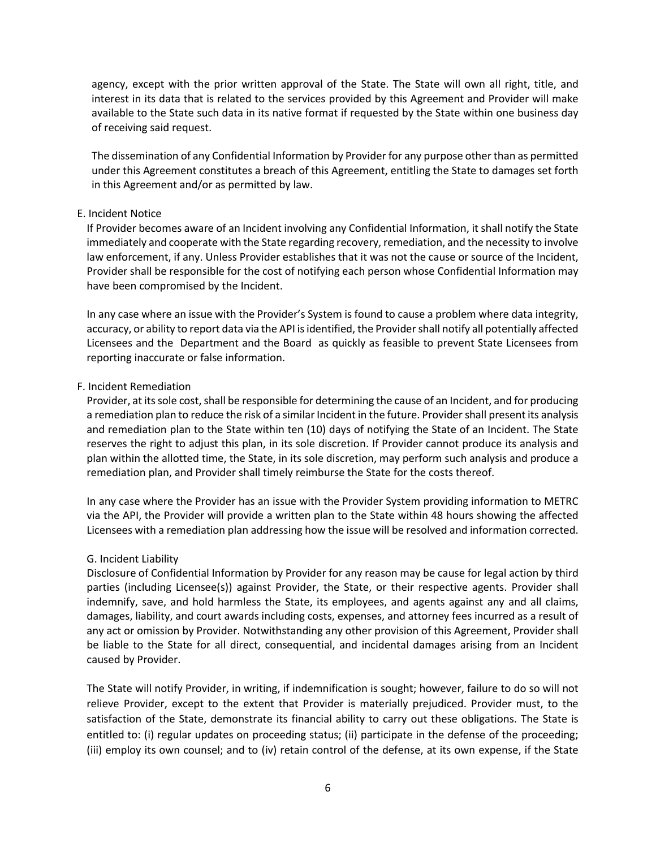agency, except with the prior written approval of the State. The State will own all right, title, and interest in its data that is related to the services provided by this Agreement and Provider will make available to the State such data in its native format if requested by the State within one business day of receiving said request.

The dissemination of any Confidential Information by Provider for any purpose other than as permitted under this Agreement constitutes a breach of this Agreement, entitling the State to damages set forth in this Agreement and/or as permitted by law.

## E. Incident Notice

If Provider becomes aware of an Incident involving any Confidential Information, it shall notify the State immediately and cooperate with the State regarding recovery, remediation, and the necessity to involve law enforcement, if any. Unless Provider establishes that it was not the cause or source of the Incident, Provider shall be responsible for the cost of notifying each person whose Confidential Information may have been compromised by the Incident.

In any case where an issue with the Provider's System is found to cause a problem where data integrity, accuracy, or ability to report data via the API is identified, the Provider shall notify all potentially affected Licensees and the Department and the Board as quickly as feasible to prevent State Licensees from reporting inaccurate or false information.

## F. Incident Remediation

Provider, at its sole cost, shall be responsible for determining the cause of an Incident, and for producing a remediation plan to reduce the risk of a similar Incident in the future. Provider shall present its analysis and remediation plan to the State within ten (10) days of notifying the State of an Incident. The State reserves the right to adjust this plan, in its sole discretion. If Provider cannot produce its analysis and plan within the allotted time, the State, in its sole discretion, may perform such analysis and produce a remediation plan, and Provider shall timely reimburse the State for the costs thereof.

In any case where the Provider has an issue with the Provider System providing information to METRC via the API, the Provider will provide a written plan to the State within 48 hours showing the affected Licensees with a remediation plan addressing how the issue will be resolved and information corrected.

#### G. Incident Liability

Disclosure of Confidential Information by Provider for any reason may be cause for legal action by third parties (including Licensee(s)) against Provider, the State, or their respective agents. Provider shall indemnify, save, and hold harmless the State, its employees, and agents against any and all claims, damages, liability, and court awards including costs, expenses, and attorney fees incurred as a result of any act or omission by Provider. Notwithstanding any other provision of this Agreement, Provider shall be liable to the State for all direct, consequential, and incidental damages arising from an Incident caused by Provider.

The State will notify Provider, in writing, if indemnification is sought; however, failure to do so will not relieve Provider, except to the extent that Provider is materially prejudiced. Provider must, to the satisfaction of the State, demonstrate its financial ability to carry out these obligations. The State is entitled to: (i) regular updates on proceeding status; (ii) participate in the defense of the proceeding; (iii) employ its own counsel; and to (iv) retain control of the defense, at its own expense, if the State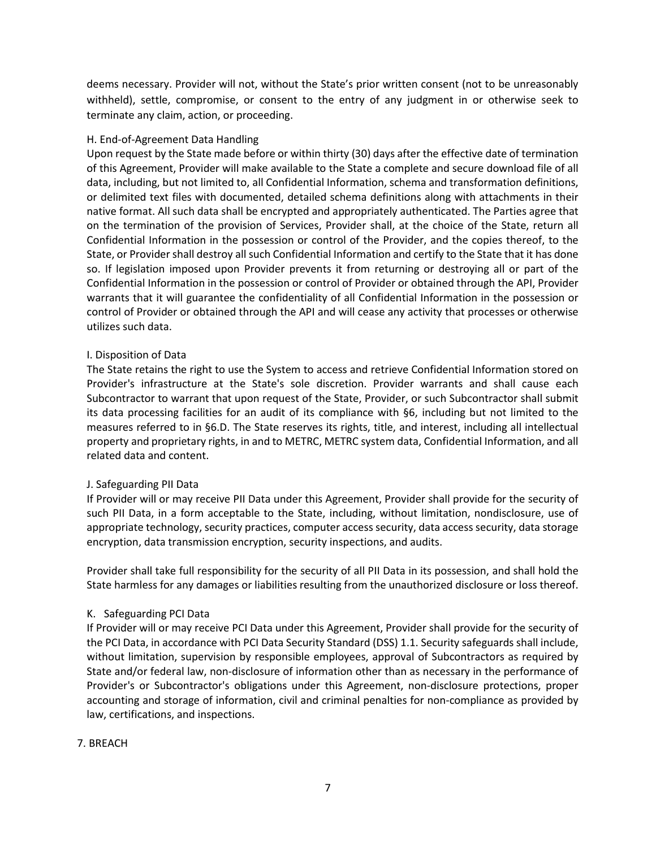deems necessary. Provider will not, without the State's prior written consent (not to be unreasonably withheld), settle, compromise, or consent to the entry of any judgment in or otherwise seek to terminate any claim, action, or proceeding.

## H. End-of-Agreement Data Handling

Upon request by the State made before or within thirty (30) days after the effective date of termination of this Agreement, Provider will make available to the State a complete and secure download file of all data, including, but not limited to, all Confidential Information, schema and transformation definitions, or delimited text files with documented, detailed schema definitions along with attachments in their native format. All such data shall be encrypted and appropriately authenticated. The Parties agree that on the termination of the provision of Services, Provider shall, at the choice of the State, return all Confidential Information in the possession or control of the Provider, and the copies thereof, to the State, or Provider shall destroy all such Confidential Information and certify to the State that it has done so. If legislation imposed upon Provider prevents it from returning or destroying all or part of the Confidential Information in the possession or control of Provider or obtained through the API, Provider warrants that it will guarantee the confidentiality of all Confidential Information in the possession or control of Provider or obtained through the API and will cease any activity that processes or otherwise utilizes such data.

## I. Disposition of Data

The State retains the right to use the System to access and retrieve Confidential Information stored on Provider's infrastructure at the State's sole discretion. Provider warrants and shall cause each Subcontractor to warrant that upon request of the State, Provider, or such Subcontractor shall submit its data processing facilities for an audit of its compliance with §6, including but not limited to the measures referred to in §6.D. The State reserves its rights, title, and interest, including all intellectual property and proprietary rights, in and to METRC, METRC system data, Confidential Information, and all related data and content.

## J. Safeguarding PII Data

If Provider will or may receive PII Data under this Agreement, Provider shall provide for the security of such PII Data, in a form acceptable to the State, including, without limitation, nondisclosure, use of appropriate technology, security practices, computer access security, data access security, data storage encryption, data transmission encryption, security inspections, and audits.

Provider shall take full responsibility for the security of all PII Data in its possession, and shall hold the State harmless for any damages or liabilities resulting from the unauthorized disclosure or loss thereof.

## K. Safeguarding PCI Data

If Provider will or may receive PCI Data under this Agreement, Provider shall provide for the security of the PCI Data, in accordance with PCI Data Security Standard (DSS) 1.1. Security safeguards shall include, without limitation, supervision by responsible employees, approval of Subcontractors as required by State and/or federal law, non-disclosure of information other than as necessary in the performance of Provider's or Subcontractor's obligations under this Agreement, non-disclosure protections, proper accounting and storage of information, civil and criminal penalties for non-compliance as provided by law, certifications, and inspections.

## 7. BREACH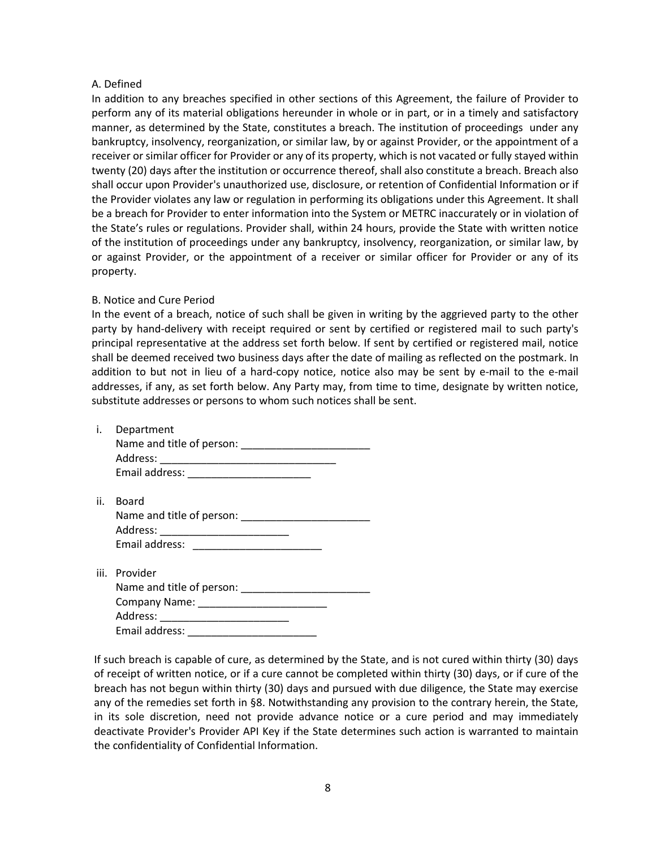## A. Defined

In addition to any breaches specified in other sections of this Agreement, the failure of Provider to perform any of its material obligations hereunder in whole or in part, or in a timely and satisfactory manner, as determined by the State, constitutes a breach. The institution of proceedings under any bankruptcy, insolvency, reorganization, or similar law, by or against Provider, or the appointment of a receiver or similar officer for Provider or any of its property, which is not vacated or fully stayed within twenty (20) days after the institution or occurrence thereof, shall also constitute a breach. Breach also shall occur upon Provider's unauthorized use, disclosure, or retention of Confidential Information or if the Provider violates any law or regulation in performing its obligations under this Agreement. It shall be a breach for Provider to enter information into the System or METRC inaccurately or in violation of the State's rules or regulations. Provider shall, within 24 hours, provide the State with written notice of the institution of proceedings under any bankruptcy, insolvency, reorganization, or similar law, by or against Provider, or the appointment of a receiver or similar officer for Provider or any of its property.

## B. Notice and Cure Period

In the event of a breach, notice of such shall be given in writing by the aggrieved party to the other party by hand-delivery with receipt required or sent by certified or registered mail to such party's principal representative at the address set forth below. If sent by certified or registered mail, notice shall be deemed received two business days after the date of mailing as reflected on the postmark. In addition to but not in lieu of a hard-copy notice, notice also may be sent by e-mail to the e-mail addresses, if any, as set forth below. Any Party may, from time to time, designate by written notice, substitute addresses or persons to whom such notices shall be sent.

- i. Department Name and title of person: Address: \_\_\_\_\_\_\_\_\_\_\_\_\_\_\_\_\_\_\_\_\_\_\_\_\_\_\_\_\_\_ Email address: \_\_\_\_\_\_\_\_\_\_\_\_\_\_\_\_\_\_\_\_\_ ii. Board Name and title of person: \_\_\_\_\_\_\_\_\_\_\_\_\_\_\_\_\_\_\_\_\_\_ Address: \_\_\_\_\_\_\_\_\_\_\_\_\_\_\_\_\_\_\_\_\_\_ Email address: \_\_\_\_\_\_\_\_\_\_\_\_\_\_\_\_\_\_\_\_\_\_
- iii. Provider Name and title of person: \_\_\_\_\_\_\_\_\_\_\_\_\_\_\_\_\_\_\_\_\_\_ Company Name: \_\_\_\_\_\_\_\_\_\_\_\_\_\_\_\_\_\_\_\_\_\_ Address: \_\_\_\_\_\_\_\_\_\_\_\_\_\_\_\_\_\_\_\_\_\_ Email address: \_\_\_\_\_\_\_\_\_\_\_\_\_\_\_\_\_\_\_\_\_\_

If such breach is capable of cure, as determined by the State, and is not cured within thirty (30) days of receipt of written notice, or if a cure cannot be completed within thirty (30) days, or if cure of the breach has not begun within thirty (30) days and pursued with due diligence, the State may exercise any of the remedies set forth in §8. Notwithstanding any provision to the contrary herein, the State, in its sole discretion, need not provide advance notice or a cure period and may immediately deactivate Provider's Provider API Key if the State determines such action is warranted to maintain the confidentiality of Confidential Information.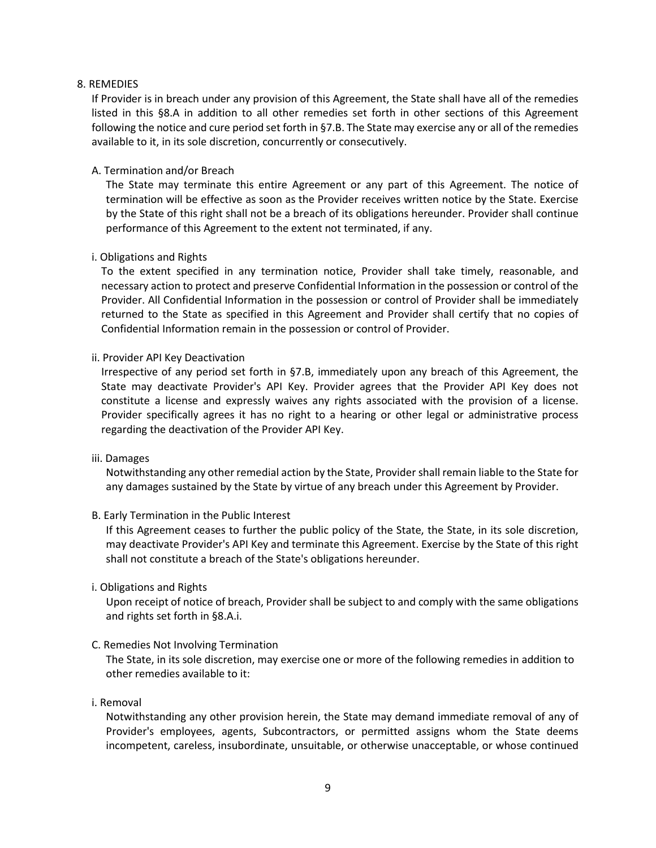## 8. REMEDIES

If Provider is in breach under any provision of this Agreement, the State shall have all of the remedies listed in this §8.A in addition to all other remedies set forth in other sections of this Agreement following the notice and cure period set forth in §7.B. The State may exercise any or all of the remedies available to it, in its sole discretion, concurrently or consecutively.

## A. Termination and/or Breach

The State may terminate this entire Agreement or any part of this Agreement. The notice of termination will be effective as soon as the Provider receives written notice by the State. Exercise by the State of this right shall not be a breach of its obligations hereunder. Provider shall continue performance of this Agreement to the extent not terminated, if any.

## i. Obligations and Rights

To the extent specified in any termination notice, Provider shall take timely, reasonable, and necessary action to protect and preserve Confidential Information in the possession or control of the Provider. All Confidential Information in the possession or control of Provider shall be immediately returned to the State as specified in this Agreement and Provider shall certify that no copies of Confidential Information remain in the possession or control of Provider.

## ii. Provider API Key Deactivation

Irrespective of any period set forth in §7.B, immediately upon any breach of this Agreement, the State may deactivate Provider's API Key. Provider agrees that the Provider API Key does not constitute a license and expressly waives any rights associated with the provision of a license. Provider specifically agrees it has no right to a hearing or other legal or administrative process regarding the deactivation of the Provider API Key.

#### iii. Damages

Notwithstanding any other remedial action by the State, Provider shall remain liable to the State for any damages sustained by the State by virtue of any breach under this Agreement by Provider.

## B. Early Termination in the Public Interest

If this Agreement ceases to further the public policy of the State, the State, in its sole discretion, may deactivate Provider's API Key and terminate this Agreement. Exercise by the State of this right shall not constitute a breach of the State's obligations hereunder.

#### i. Obligations and Rights

Upon receipt of notice of breach, Provider shall be subject to and comply with the same obligations and rights set forth in §8.A.i.

## C. Remedies Not Involving Termination

The State, in its sole discretion, may exercise one or more of the following remedies in addition to other remedies available to it:

#### i. Removal

Notwithstanding any other provision herein, the State may demand immediate removal of any of Provider's employees, agents, Subcontractors, or permitted assigns whom the State deems incompetent, careless, insubordinate, unsuitable, or otherwise unacceptable, or whose continued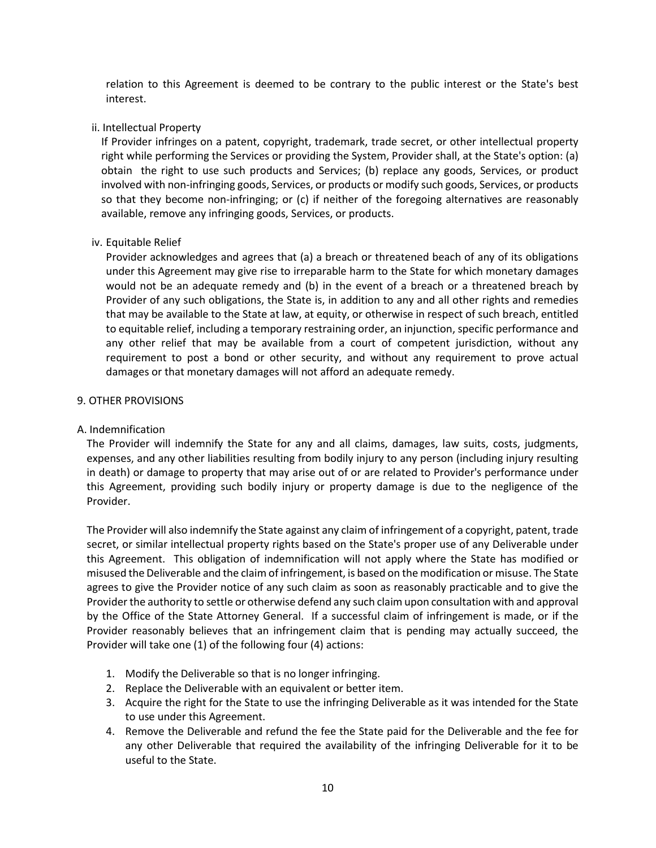relation to this Agreement is deemed to be contrary to the public interest or the State's best interest.

## ii. Intellectual Property

If Provider infringes on a patent, copyright, trademark, trade secret, or other intellectual property right while performing the Services or providing the System, Provider shall, at the State's option: (a) obtain the right to use such products and Services; (b) replace any goods, Services, or product involved with non-infringing goods, Services, or products or modify such goods, Services, or products so that they become non-infringing; or (c) if neither of the foregoing alternatives are reasonably available, remove any infringing goods, Services, or products.

## iv. Equitable Relief

Provider acknowledges and agrees that (a) a breach or threatened beach of any of its obligations under this Agreement may give rise to irreparable harm to the State for which monetary damages would not be an adequate remedy and (b) in the event of a breach or a threatened breach by Provider of any such obligations, the State is, in addition to any and all other rights and remedies that may be available to the State at law, at equity, or otherwise in respect of such breach, entitled to equitable relief, including a temporary restraining order, an injunction, specific performance and any other relief that may be available from a court of competent jurisdiction, without any requirement to post a bond or other security, and without any requirement to prove actual damages or that monetary damages will not afford an adequate remedy.

## 9. OTHER PROVISIONS

## A. Indemnification

The Provider will indemnify the State for any and all claims, damages, law suits, costs, judgments, expenses, and any other liabilities resulting from bodily injury to any person (including injury resulting in death) or damage to property that may arise out of or are related to Provider's performance under this Agreement, providing such bodily injury or property damage is due to the negligence of the Provider.

The Provider will also indemnify the State against any claim of infringement of a copyright, patent, trade secret, or similar intellectual property rights based on the State's proper use of any Deliverable under this Agreement. This obligation of indemnification will not apply where the State has modified or misused the Deliverable and the claim of infringement, is based on the modification or misuse. The State agrees to give the Provider notice of any such claim as soon as reasonably practicable and to give the Provider the authority to settle or otherwise defend any such claim upon consultation with and approval by the Office of the State Attorney General. If a successful claim of infringement is made, or if the Provider reasonably believes that an infringement claim that is pending may actually succeed, the Provider will take one (1) of the following four (4) actions:

- 1. Modify the Deliverable so that is no longer infringing.
- 2. Replace the Deliverable with an equivalent or better item.
- 3. Acquire the right for the State to use the infringing Deliverable as it was intended for the State to use under this Agreement.
- 4. Remove the Deliverable and refund the fee the State paid for the Deliverable and the fee for any other Deliverable that required the availability of the infringing Deliverable for it to be useful to the State.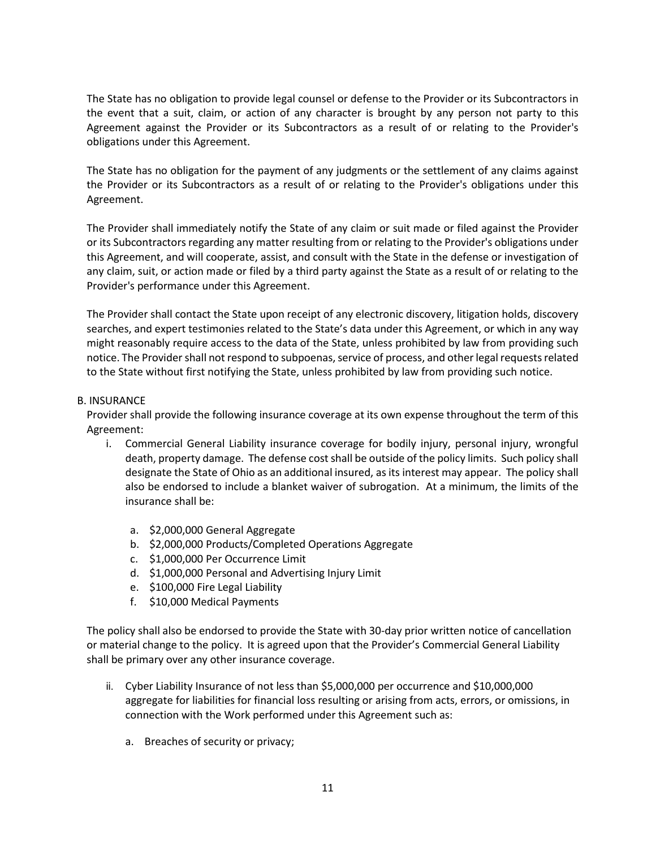The State has no obligation to provide legal counsel or defense to the Provider or its Subcontractors in the event that a suit, claim, or action of any character is brought by any person not party to this Agreement against the Provider or its Subcontractors as a result of or relating to the Provider's obligations under this Agreement.

The State has no obligation for the payment of any judgments or the settlement of any claims against the Provider or its Subcontractors as a result of or relating to the Provider's obligations under this Agreement.

The Provider shall immediately notify the State of any claim or suit made or filed against the Provider or its Subcontractors regarding any matter resulting from or relating to the Provider's obligations under this Agreement, and will cooperate, assist, and consult with the State in the defense or investigation of any claim, suit, or action made or filed by a third party against the State as a result of or relating to the Provider's performance under this Agreement.

The Provider shall contact the State upon receipt of any electronic discovery, litigation holds, discovery searches, and expert testimonies related to the State's data under this Agreement, or which in any way might reasonably require access to the data of the State, unless prohibited by law from providing such notice. The Provider shall not respond to subpoenas, service of process, and other legal requests related to the State without first notifying the State, unless prohibited by law from providing such notice.

## B. INSURANCE

Provider shall provide the following insurance coverage at its own expense throughout the term of this Agreement:

- i. Commercial General Liability insurance coverage for bodily injury, personal injury, wrongful death, property damage. The defense cost shall be outside of the policy limits. Such policy shall designate the State of Ohio as an additional insured, as its interest may appear. The policy shall also be endorsed to include a blanket waiver of subrogation. At a minimum, the limits of the insurance shall be:
	- a. \$2,000,000 General Aggregate
	- b. \$2,000,000 Products/Completed Operations Aggregate
	- c. \$1,000,000 Per Occurrence Limit
	- d. \$1,000,000 Personal and Advertising Injury Limit
	- e. \$100,000 Fire Legal Liability
	- f. \$10,000 Medical Payments

The policy shall also be endorsed to provide the State with 30-day prior written notice of cancellation or material change to the policy. It is agreed upon that the Provider's Commercial General Liability shall be primary over any other insurance coverage.

- ii. Cyber Liability Insurance of not less than \$5,000,000 per occurrence and \$10,000,000 aggregate for liabilities for financial loss resulting or arising from acts, errors, or omissions, in connection with the Work performed under this Agreement such as:
	- a. Breaches of security or privacy;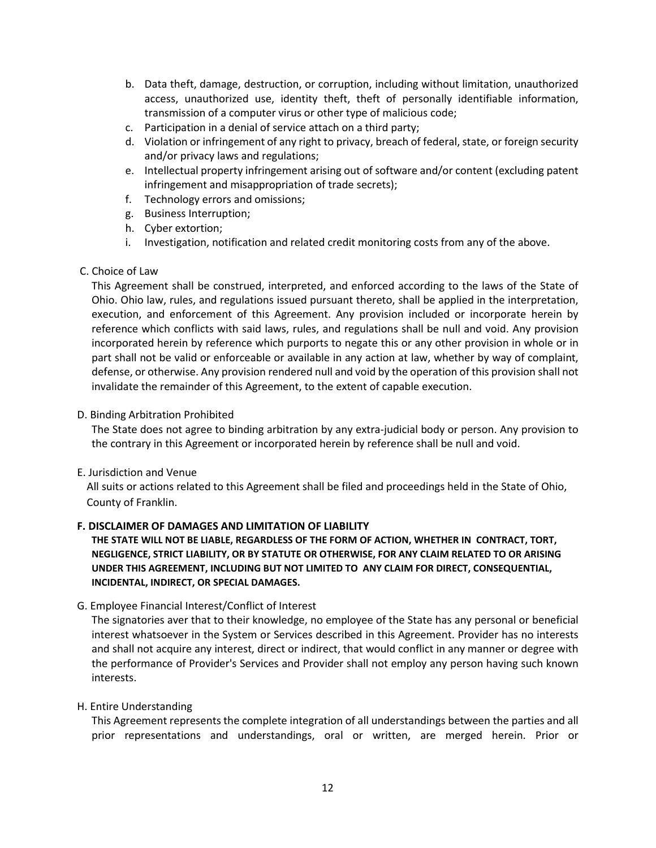- b. Data theft, damage, destruction, or corruption, including without limitation, unauthorized access, unauthorized use, identity theft, theft of personally identifiable information, transmission of a computer virus or other type of malicious code;
- c. Participation in a denial of service attach on a third party;
- d. Violation or infringement of any right to privacy, breach of federal, state, or foreign security and/or privacy laws and regulations;
- e. Intellectual property infringement arising out of software and/or content (excluding patent infringement and misappropriation of trade secrets);
- f. Technology errors and omissions;
- g. Business Interruption;
- h. Cyber extortion;
- i. Investigation, notification and related credit monitoring costs from any of the above.
- C. Choice of Law

This Agreement shall be construed, interpreted, and enforced according to the laws of the State of Ohio. Ohio law, rules, and regulations issued pursuant thereto, shall be applied in the interpretation, execution, and enforcement of this Agreement. Any provision included or incorporate herein by reference which conflicts with said laws, rules, and regulations shall be null and void. Any provision incorporated herein by reference which purports to negate this or any other provision in whole or in part shall not be valid or enforceable or available in any action at law, whether by way of complaint, defense, or otherwise. Any provision rendered null and void by the operation of this provision shall not invalidate the remainder of this Agreement, to the extent of capable execution.

# D. Binding Arbitration Prohibited

The State does not agree to binding arbitration by any extra-judicial body or person. Any provision to the contrary in this Agreement or incorporated herein by reference shall be null and void.

E. Jurisdiction and Venue

All suits or actions related to this Agreement shall be filed and proceedings held in the State of Ohio, County of Franklin.

# **F. DISCLAIMER OF DAMAGES AND LIMITATION OF LIABILITY**

**THE STATE WILL NOT BE LIABLE, REGARDLESS OF THE FORM OF ACTION, WHETHER IN CONTRACT, TORT, NEGLIGENCE, STRICT LIABILITY, OR BY STATUTE OR OTHERWISE, FOR ANY CLAIM RELATED TO OR ARISING UNDER THIS AGREEMENT, INCLUDING BUT NOT LIMITED TO ANY CLAIM FOR DIRECT, CONSEQUENTIAL, INCIDENTAL, INDIRECT, OR SPECIAL DAMAGES.**

G. Employee Financial Interest/Conflict of Interest

The signatories aver that to their knowledge, no employee of the State has any personal or beneficial interest whatsoever in the System or Services described in this Agreement. Provider has no interests and shall not acquire any interest, direct or indirect, that would conflict in any manner or degree with the performance of Provider's Services and Provider shall not employ any person having such known interests.

# H. Entire Understanding

This Agreement represents the complete integration of all understandings between the parties and all prior representations and understandings, oral or written, are merged herein. Prior or